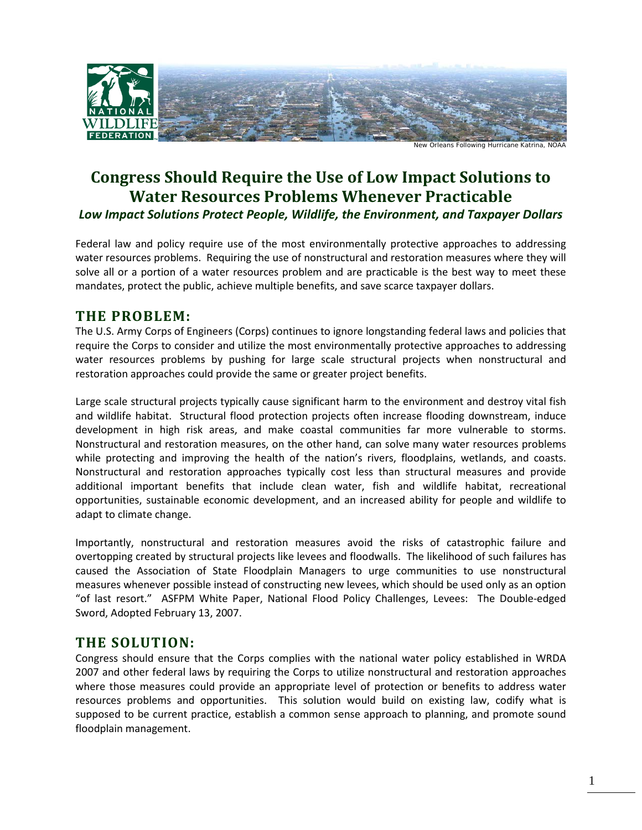

New Orleans Following Hurricane Katrina

# **Congress Should Require the Use of Low Impact Solutions to Water Resources Problems Whenever Practicable** *Low Impact Solutions Protect People, Wildlife, the Environment, and Taxpayer Dollars*

Federal law and policy require use of the most environmentally protective approaches to addressing water resources problems. Requiring the use of nonstructural and restoration measures where they will solve all or a portion of a water resources problem and are practicable is the best way to meet these mandates, protect the public, achieve multiple benefits, and save scarce taxpayer dollars.

## **THE PROBLEM:**

The U.S. Army Corps of Engineers (Corps) continues to ignore longstanding federal laws and policies that require the Corps to consider and utilize the most environmentally protective approaches to addressing water resources problems by pushing for large scale structural projects when nonstructural and restoration approaches could provide the same or greater project benefits.

Large scale structural projects typically cause significant harm to the environment and destroy vital fish and wildlife habitat. Structural flood protection projects often increase flooding downstream, induce development in high risk areas, and make coastal communities far more vulnerable to storms. Nonstructural and restoration measures, on the other hand, can solve many water resources problems while protecting and improving the health of the nation's rivers, floodplains, wetlands, and coasts. Nonstructural and restoration approaches typically cost less than structural measures and provide additional important benefits that include clean water, fish and wildlife habitat, recreational opportunities, sustainable economic development, and an increased ability for people and wildlife to adapt to climate change.

Importantly, nonstructural and restoration measures avoid the risks of catastrophic failure and overtopping created by structural projects like levees and floodwalls. The likelihood of such failures has caused the Association of State Floodplain Managers to urge communities to use nonstructural measures whenever possible instead of constructing new levees, which should be used only as an option "of last resort." ASFPM White Paper, National Flood Policy Challenges, Levees: The Double-edged Sword, Adopted February 13, 2007.

## **THE SOLUTION:**

Congress should ensure that the Corps complies with the national water policy established in WRDA 2007 and other federal laws by requiring the Corps to utilize nonstructural and restoration approaches where those measures could provide an appropriate level of protection or benefits to address water resources problems and opportunities. This solution would build on existing law, codify what is supposed to be current practice, establish a common sense approach to planning, and promote sound floodplain management.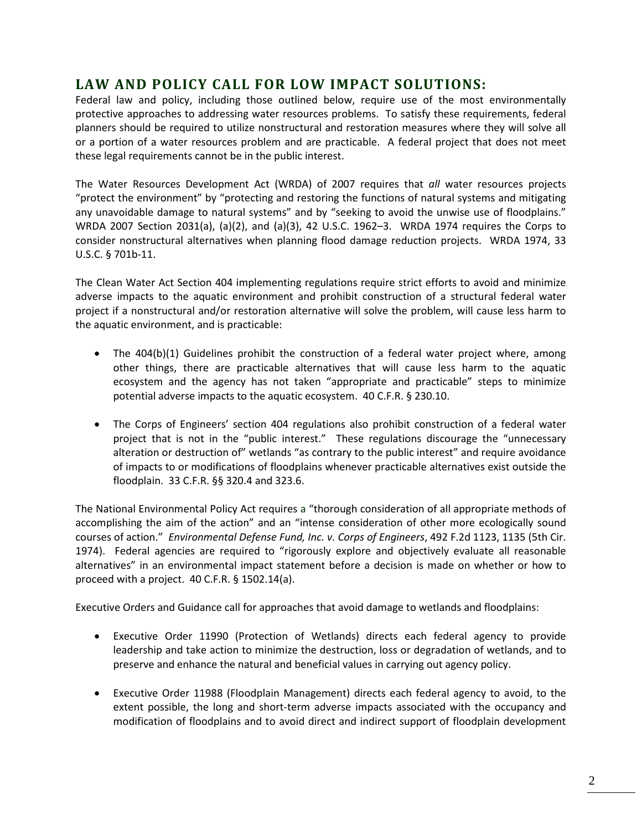### **LAW AND POLICY CALL FOR LOW IMPACT SOLUTIONS:**

Federal law and policy, including those outlined below, require use of the most environmentally protective approaches to addressing water resources problems. To satisfy these requirements, federal planners should be required to utilize nonstructural and restoration measures where they will solve all or a portion of a water resources problem and are practicable. A federal project that does not meet these legal requirements cannot be in the public interest.

The Water Resources Development Act (WRDA) of 2007 requires that *all* water resources projects "protect the environment" by "protecting and restoring the functions of natural systems and mitigating any unavoidable damage to natural systems" and by "seeking to avoid the unwise use of floodplains." WRDA 2007 Section 2031(a), (a)(2), and (a)(3), 42 U.S.C. 1962–3. WRDA 1974 requires the Corps to consider nonstructural alternatives when planning flood damage reduction projects. WRDA 1974, 33 U.S.C. § 701b-11.

The Clean Water Act Section 404 implementing regulations require strict efforts to avoid and minimize adverse impacts to the aquatic environment and prohibit construction of a structural federal water project if a nonstructural and/or restoration alternative will solve the problem, will cause less harm to the aquatic environment, and is practicable:

- The 404(b)(1) Guidelines prohibit the construction of a federal water project where, among other things, there are practicable alternatives that will cause less harm to the aquatic ecosystem and the agency has not taken "appropriate and practicable" steps to minimize potential adverse impacts to the aquatic ecosystem. 40 C.F.R. § 230.10.
- The Corps of Engineers' section 404 regulations also prohibit construction of a federal water project that is not in the "public interest." These regulations discourage the "unnecessary alteration or destruction of" wetlands "as contrary to the public interest" and require avoidance of impacts to or modifications of floodplains whenever practicable alternatives exist outside the floodplain. 33 C.F.R. §§ 320.4 and 323.6.

The National Environmental Policy Act requires a "thorough consideration of all appropriate methods of accomplishing the aim of the action" and an "intense consideration of other more ecologically sound courses of action." *Environmental Defense Fund, Inc. v. Corps of Engineers*, 492 F.2d 1123, 1135 (5th Cir. 1974). Federal agencies are required to "rigorously explore and objectively evaluate all reasonable alternatives" in an environmental impact statement before a decision is made on whether or how to proceed with a project. 40 C.F.R. § 1502.14(a).

Executive Orders and Guidance call for approaches that avoid damage to wetlands and floodplains:

- Executive Order 11990 (Protection of Wetlands) directs each federal agency to provide leadership and take action to minimize the destruction, loss or degradation of wetlands, and to preserve and enhance the natural and beneficial values in carrying out agency policy.
- Executive Order 11988 (Floodplain Management) directs each federal agency to avoid, to the extent possible, the long and short-term adverse impacts associated with the occupancy and modification of floodplains and to avoid direct and indirect support of floodplain development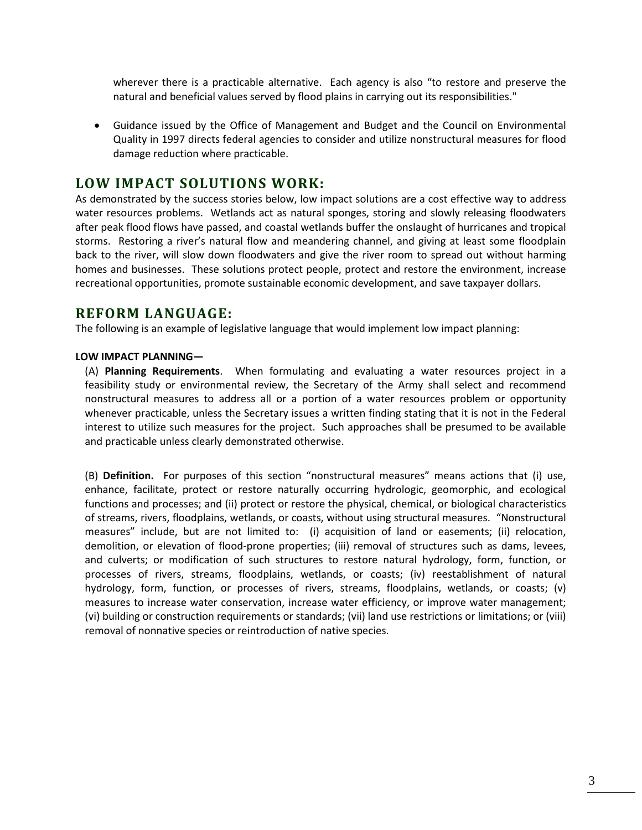wherever there is a practicable alternative. Each agency is also "to restore and preserve the natural and beneficial values served by flood plains in carrying out its responsibilities."

• Guidance issued by the Office of Management and Budget and the Council on Environmental Quality in 1997 directs federal agencies to consider and utilize nonstructural measures for flood damage reduction where practicable.

#### **LOW IMPACT SOLUTIONS WORK:**

As demonstrated by the success stories below, low impact solutions are a cost effective way to address water resources problems. Wetlands act as natural sponges, storing and slowly releasing floodwaters after peak flood flows have passed, and coastal wetlands buffer the onslaught of hurricanes and tropical storms. Restoring a river's natural flow and meandering channel, and giving at least some floodplain back to the river, will slow down floodwaters and give the river room to spread out without harming homes and businesses. These solutions protect people, protect and restore the environment, increase recreational opportunities, promote sustainable economic development, and save taxpayer dollars.

#### **REFORM LANGUAGE:**

The following is an example of legislative language that would implement low impact planning:

#### **LOW IMPACT PLANNING—**

(A) **Planning Requirements**. When formulating and evaluating a water resources project in a feasibility study or environmental review, the Secretary of the Army shall select and recommend nonstructural measures to address all or a portion of a water resources problem or opportunity whenever practicable, unless the Secretary issues a written finding stating that it is not in the Federal interest to utilize such measures for the project. Such approaches shall be presumed to be available and practicable unless clearly demonstrated otherwise.

(B) **Definition.** For purposes of this section "nonstructural measures" means actions that (i) use, enhance, facilitate, protect or restore naturally occurring hydrologic, geomorphic, and ecological functions and processes; and (ii) protect or restore the physical, chemical, or biological characteristics of streams, rivers, floodplains, wetlands, or coasts, without using structural measures. "Nonstructural measures" include, but are not limited to: (i) acquisition of land or easements; (ii) relocation, demolition, or elevation of flood-prone properties; (iii) removal of structures such as dams, levees, and culverts; or modification of such structures to restore natural hydrology, form, function, or processes of rivers, streams, floodplains, wetlands, or coasts; (iv) reestablishment of natural hydrology, form, function, or processes of rivers, streams, floodplains, wetlands, or coasts; (v) measures to increase water conservation, increase water efficiency, or improve water management; (vi) building or construction requirements or standards; (vii) land use restrictions or limitations; or (viii) removal of nonnative species or reintroduction of native species.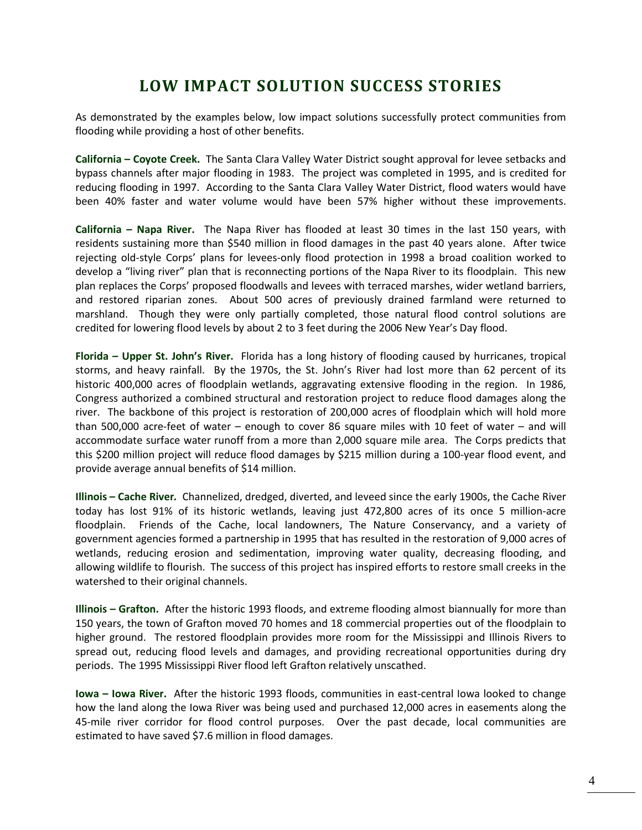# **LOW IMPACT SOLUTION SUCCESS STORIES**

As demonstrated by the examples below, low impact solutions successfully protect communities from flooding while providing a host of other benefits.

**California – Coyote Creek.**The Santa Clara Valley Water District sought approval for levee setbacks and bypass channels after major flooding in 1983. The project was completed in 1995, and is credited for reducing flooding in 1997. According to the Santa Clara Valley Water District, flood waters would have been 40% faster and water volume would have been 57% higher without these improvements.

**California – Napa River.** The Napa River has flooded at least 30 times in the last 150 years, with residents sustaining more than \$540 million in flood damages in the past 40 years alone. After twice rejecting old-style Corps' plans for levees-only flood protection in 1998 a broad coalition worked to develop a "living river" plan that is reconnecting portions of the Napa River to its floodplain. This new plan replaces the Corps' proposed floodwalls and levees with terraced marshes, wider wetland barriers, and restored riparian zones. About 500 acres of previously drained farmland were returned to marshland. Though they were only partially completed, those natural flood control solutions are credited for lowering flood levels by about 2 to 3 feet during the 2006 New Year's Day flood.

**Florida – Upper St. John's River.** Florida has a long history of flooding caused by hurricanes, tropical storms, and heavy rainfall. By the 1970s, the St. John's River had lost more than 62 percent of its historic 400,000 acres of floodplain wetlands, aggravating extensive flooding in the region. In 1986, Congress authorized a combined structural and restoration project to reduce flood damages along the river. The backbone of this project is restoration of 200,000 acres of floodplain which will hold more than 500,000 acre-feet of water – enough to cover 86 square miles with 10 feet of water – and will accommodate surface water runoff from a more than 2,000 square mile area. The Corps predicts that this \$200 million project will reduce flood damages by \$215 million during a 100-year flood event, and provide average annual benefits of \$14 million.

**Illinois – Cache River***.* Channelized, dredged, diverted, and leveed since the early 1900s, the Cache River today has lost 91% of its historic wetlands, leaving just 472,800 acres of its once 5 million-acre floodplain. Friends of the Cache, local landowners, The Nature Conservancy, and a variety of government agencies formed a partnership in 1995 that has resulted in the restoration of 9,000 acres of wetlands, reducing erosion and sedimentation, improving water quality, decreasing flooding, and allowing wildlife to flourish. The success of this project has inspired efforts to restore small creeks in the watershed to their original channels.

**Illinois – Grafton.** After the historic 1993 floods, and extreme flooding almost biannually for more than 150 years, the town of Grafton moved 70 homes and 18 commercial properties out of the floodplain to higher ground. The restored floodplain provides more room for the Mississippi and Illinois Rivers to spread out, reducing flood levels and damages, and providing recreational opportunities during dry periods. The 1995 Mississippi River flood left Grafton relatively unscathed.

**Iowa – Iowa River.**After the historic 1993 floods, communities in east-central Iowa looked to change how the land along the Iowa River was being used and purchased 12,000 acres in easements along the 45-mile river corridor for flood control purposes. Over the past decade, local communities are estimated to have saved \$7.6 million in flood damages.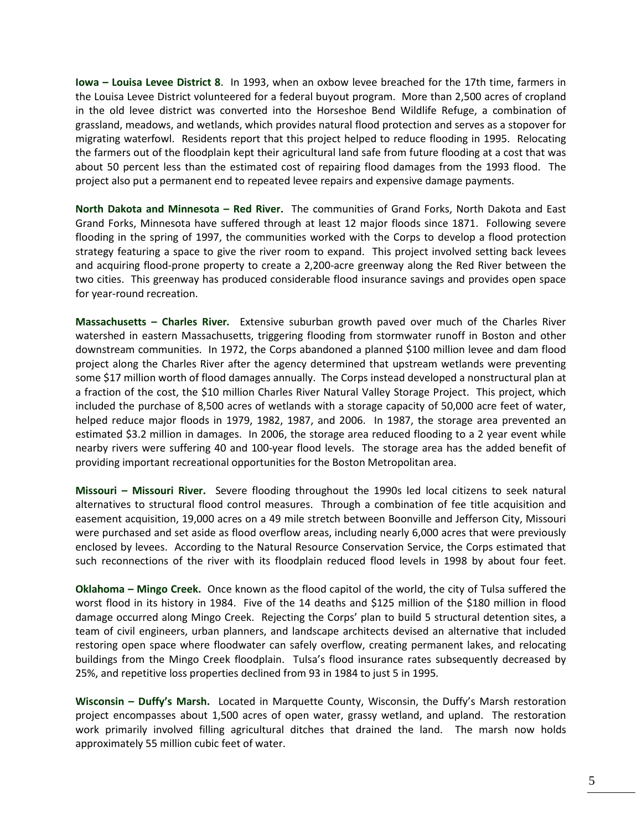**Iowa – Louisa Levee District 8**. In 1993, when an oxbow levee breached for the 17th time, farmers in the Louisa Levee District volunteered for a federal buyout program. More than 2,500 acres of cropland in the old levee district was converted into the Horseshoe Bend Wildlife Refuge, a combination of grassland, meadows, and wetlands, which provides natural flood protection and serves as a stopover for migrating waterfowl. Residents report that this project helped to reduce flooding in 1995. Relocating the farmers out of the floodplain kept their agricultural land safe from future flooding at a cost that was about 50 percent less than the estimated cost of repairing flood damages from the 1993 flood. The project also put a permanent end to repeated levee repairs and expensive damage payments.

**North Dakota and Minnesota – Red River.**The communities of Grand Forks, North Dakota and East Grand Forks, Minnesota have suffered through at least 12 major floods since 1871. Following severe flooding in the spring of 1997, the communities worked with the Corps to develop a flood protection strategy featuring a space to give the river room to expand. This project involved setting back levees and acquiring flood-prone property to create a 2,200-acre greenway along the Red River between the two cities. This greenway has produced considerable flood insurance savings and provides open space for year-round recreation.

**Massachusetts – Charles River***.* Extensive suburban growth paved over much of the Charles River watershed in eastern Massachusetts, triggering flooding from stormwater runoff in Boston and other downstream communities. In 1972, the Corps abandoned a planned \$100 million levee and dam flood project along the Charles River after the agency determined that upstream wetlands were preventing some \$17 million worth of flood damages annually. The Corps instead developed a nonstructural plan at a fraction of the cost, the \$10 million Charles River Natural Valley Storage Project. This project, which included the purchase of 8,500 acres of wetlands with a storage capacity of 50,000 acre feet of water, helped reduce major floods in 1979, 1982, 1987, and 2006. In 1987, the storage area prevented an estimated \$3.2 million in damages. In 2006, the storage area reduced flooding to a 2 year event while nearby rivers were suffering 40 and 100-year flood levels. The storage area has the added benefit of providing important recreational opportunities for the Boston Metropolitan area.

**Missouri – Missouri River.**Severe flooding throughout the 1990s led local citizens to seek natural alternatives to structural flood control measures. Through a combination of fee title acquisition and easement acquisition, 19,000 acres on a 49 mile stretch between Boonville and Jefferson City, Missouri were purchased and set aside as flood overflow areas, including nearly 6,000 acres that were previously enclosed by levees. According to the Natural Resource Conservation Service, the Corps estimated that such reconnections of the river with its floodplain reduced flood levels in 1998 by about four feet.

**Oklahoma – Mingo Creek.** Once known as the flood capitol of the world, the city of Tulsa suffered the worst flood in its history in 1984. Five of the 14 deaths and \$125 million of the \$180 million in flood damage occurred along Mingo Creek. Rejecting the Corps' plan to build 5 structural detention sites, a team of civil engineers, urban planners, and landscape architects devised an alternative that included restoring open space where floodwater can safely overflow, creating permanent lakes, and relocating buildings from the Mingo Creek floodplain. Tulsa's flood insurance rates subsequently decreased by 25%, and repetitive loss properties declined from 93 in 1984 to just 5 in 1995*.*

**Wisconsin – Duffy's Marsh.**Located in Marquette County, Wisconsin, the Duffy's Marsh restoration project encompasses about 1,500 acres of open water, grassy wetland, and upland. The restoration work primarily involved filling agricultural ditches that drained the land. The marsh now holds approximately 55 million cubic feet of water.